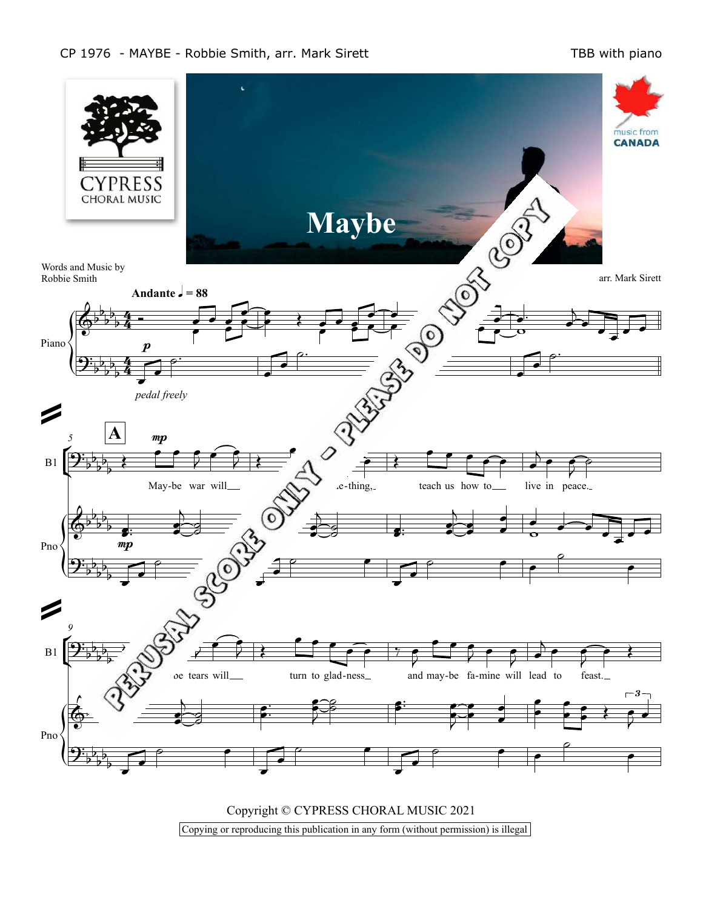

Copying or reproducing this publication in any form (without permission) is illegal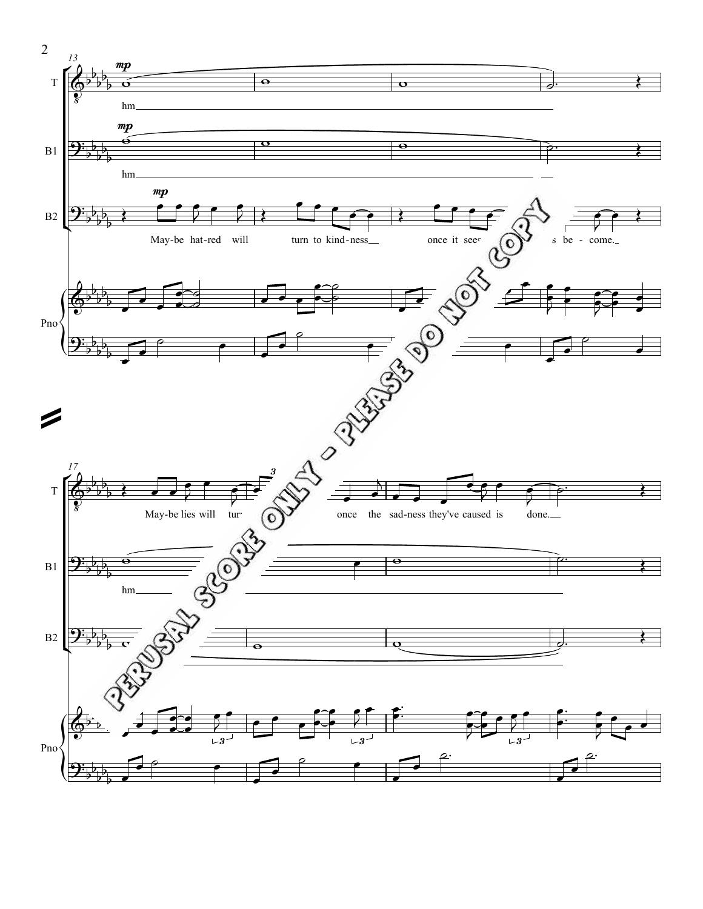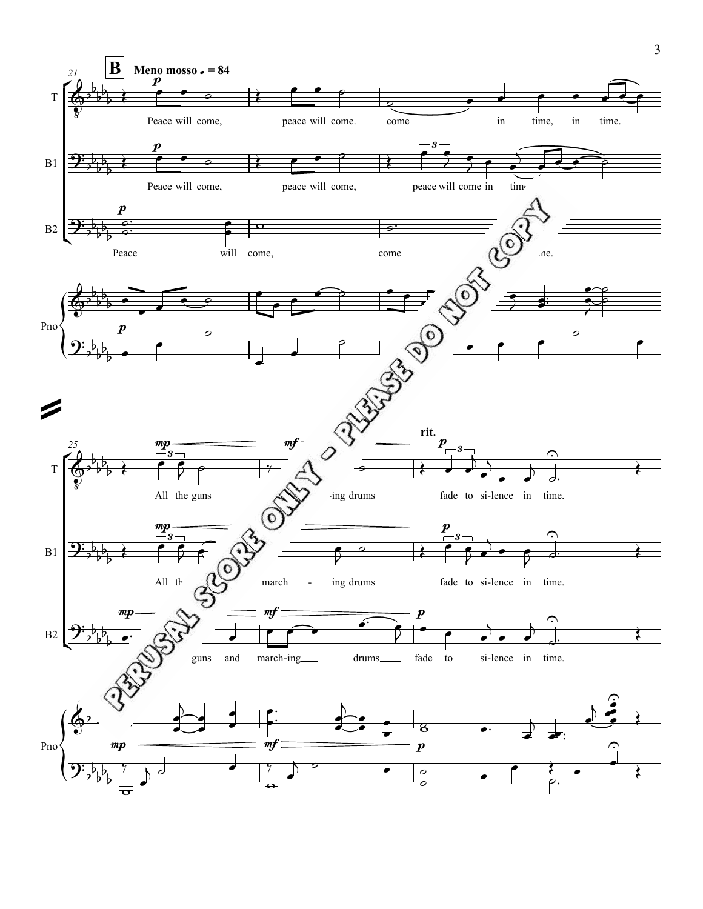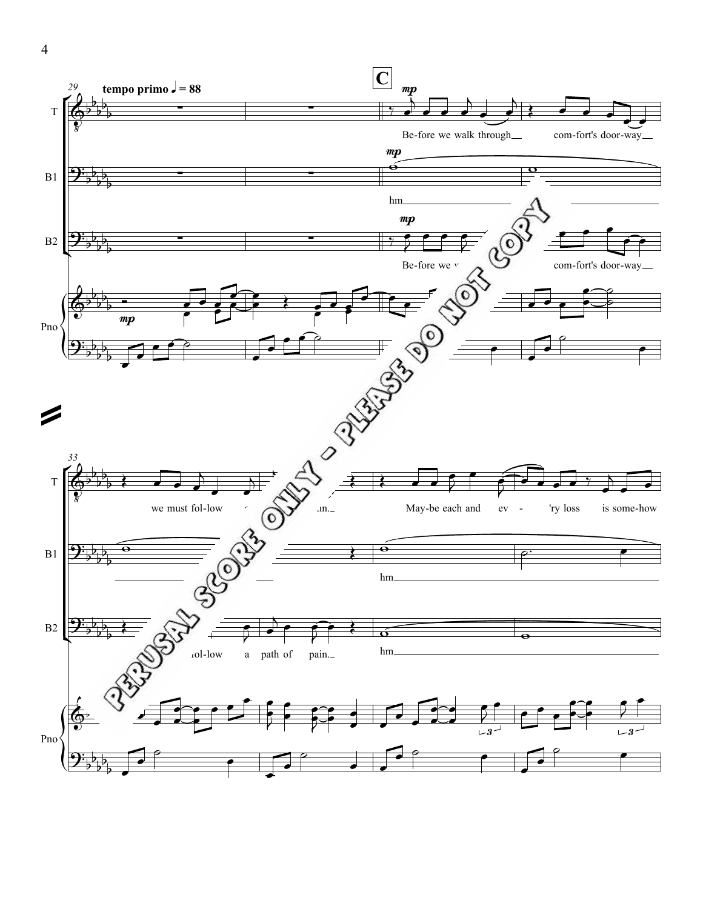

4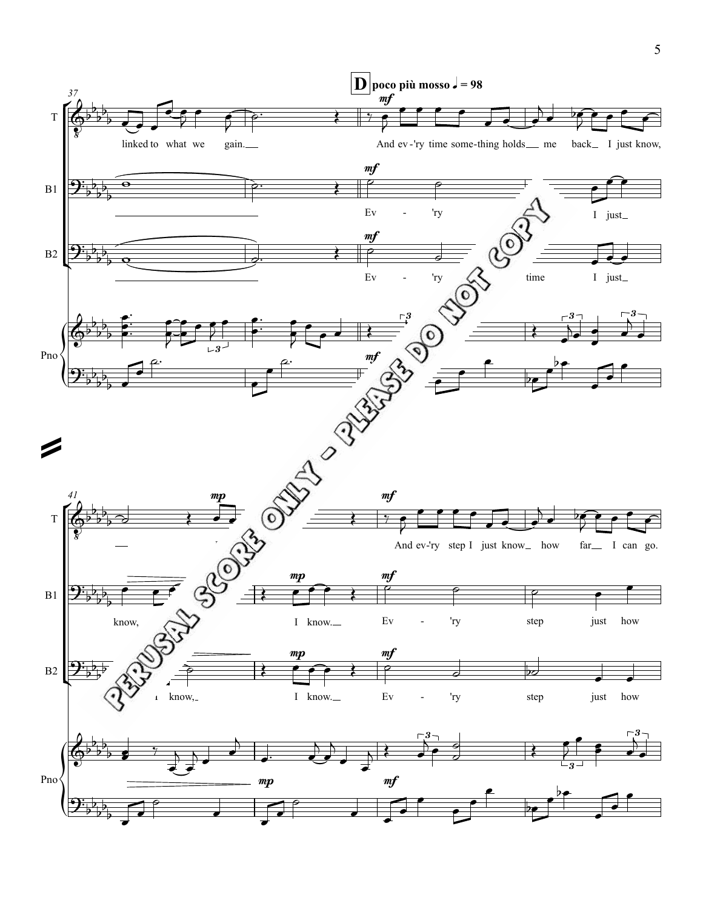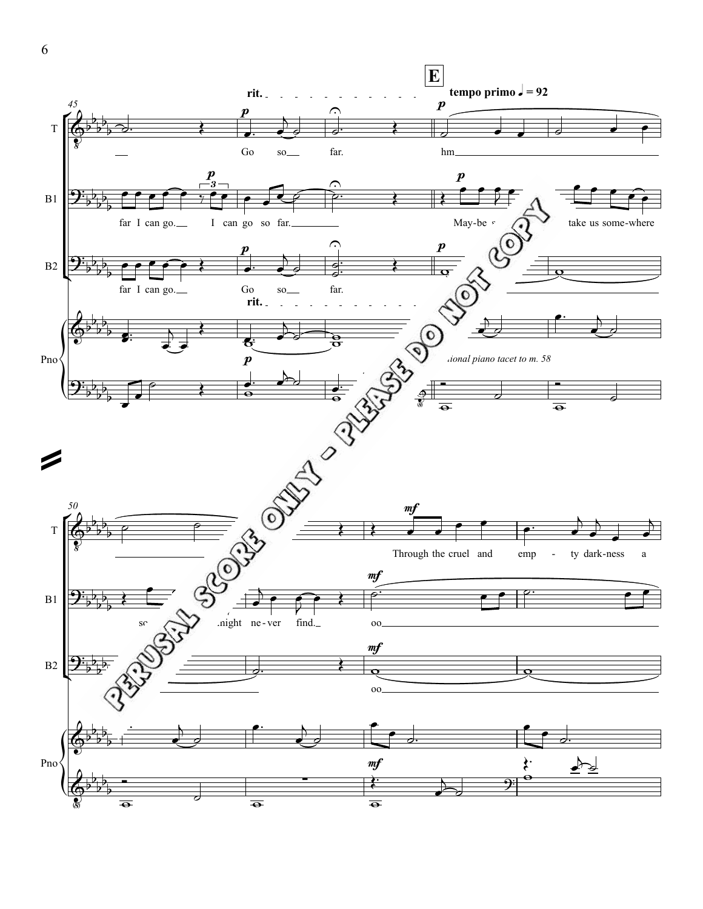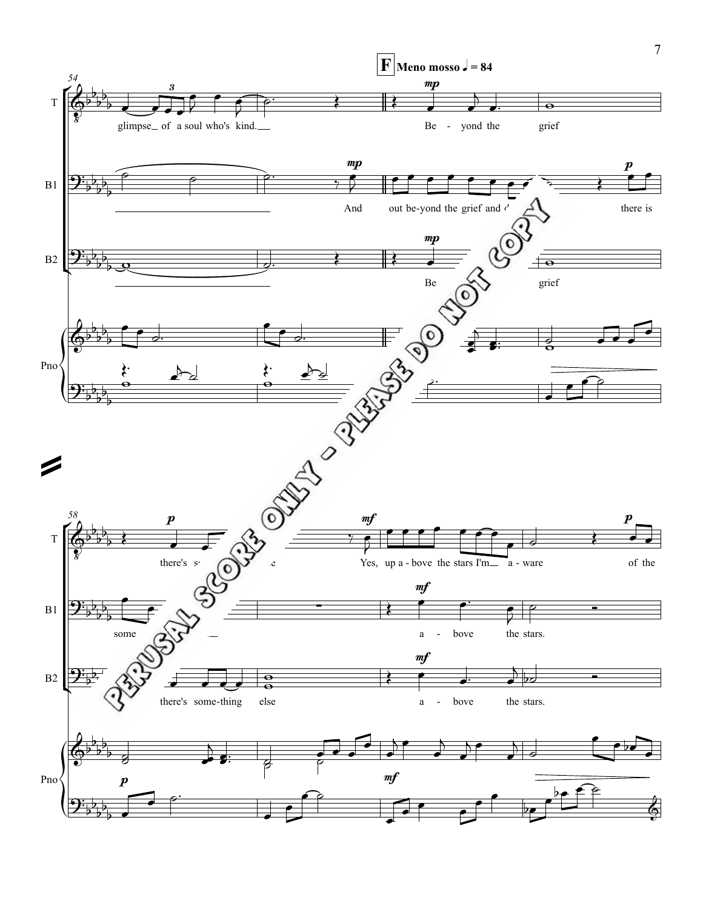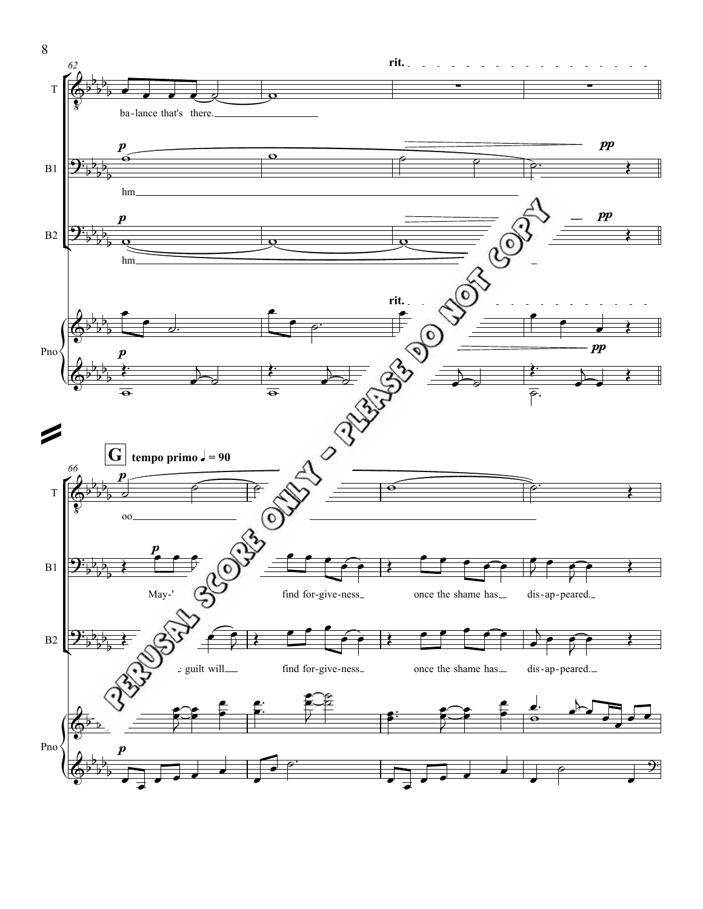

8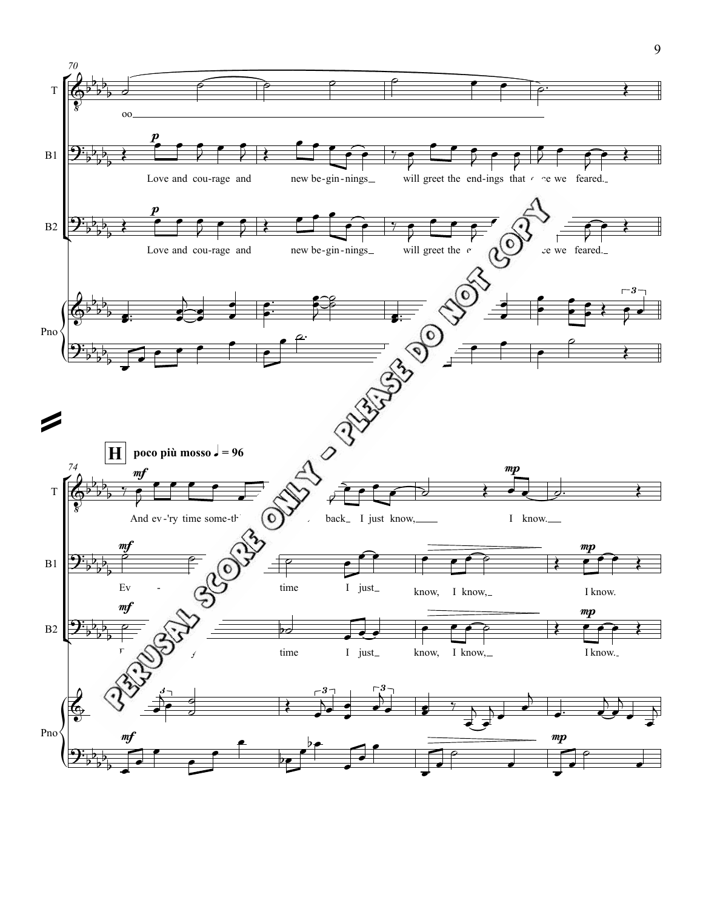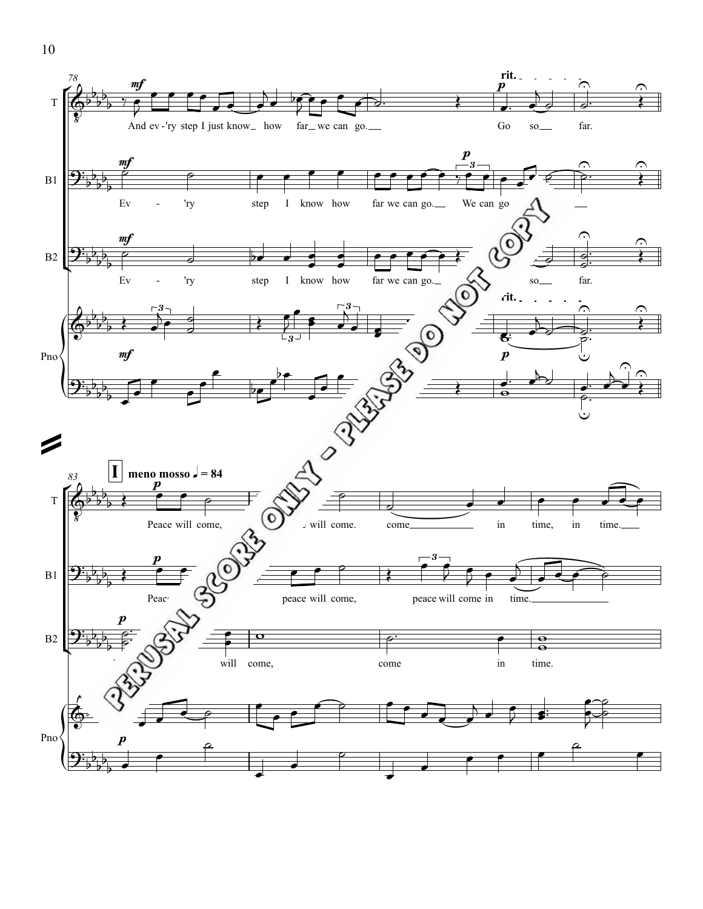

**10**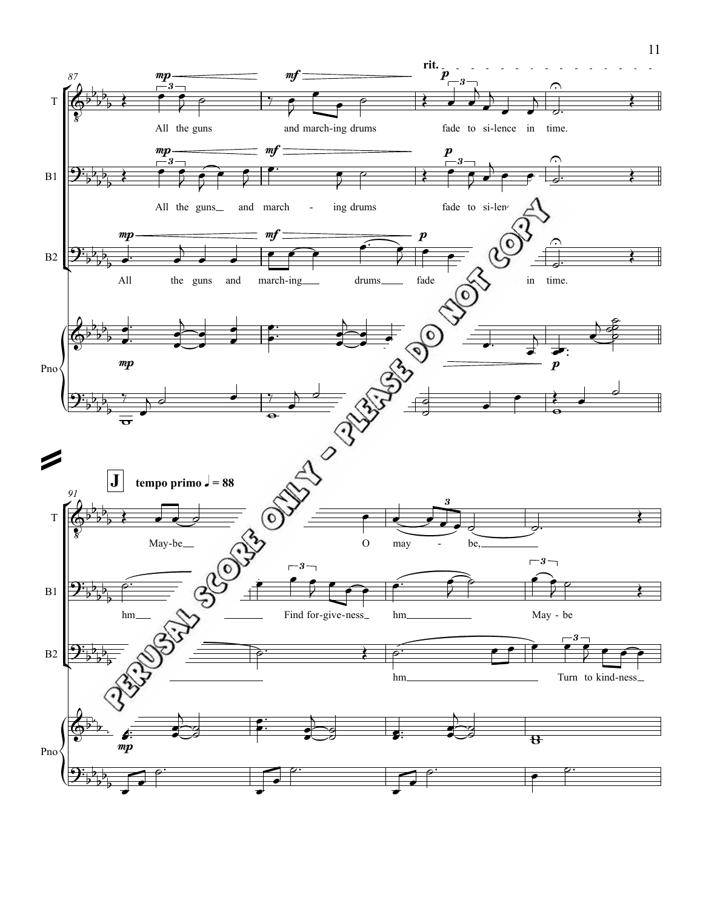